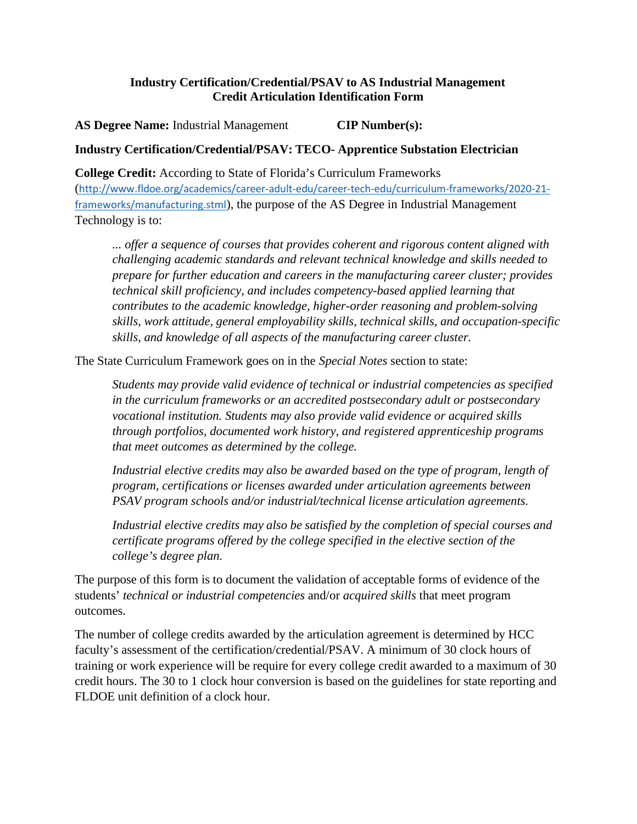## **Industry Certification/Credential/PSAV to AS Industrial Management Credit Articulation Identification Form**

 **AS Degree Name:** Industrial Management **CIP Number(s):** 

## **Industry Certification/Credential/PSAV: TECO- Apprentice Substation Electrician**

 Technology is to: **College Credit:** According to State of Florida's Curriculum Frameworks ([http://www.fldoe.org/academics/career-adult-edu/career-tech-edu/curriculum-frameworks/2020-21](http://www.fldoe.org/academics/career-adult-edu/career-tech-edu/curriculum-frameworks/2020-21-) frameworks/manufacturing.stml), the purpose of the AS Degree in Industrial Management

 *skills, work attitude, general employability skills, technical skills, and occupation-specific skills, and knowledge of all aspects of the manufacturing career cluster. ... offer a sequence of courses that provides coherent and rigorous content aligned with challenging academic standards and relevant technical knowledge and skills needed to prepare for further education and careers in the manufacturing career cluster; provides technical skill proficiency, and includes competency-based applied learning that contributes to the academic knowledge, higher-order reasoning and problem-solving* 

The State Curriculum Framework goes on in the *Special Notes* section to state:

 *Students may provide valid evidence of technical or industrial competencies as specified that meet outcomes as determined by the college. in the curriculum frameworks or an accredited postsecondary adult or postsecondary vocational institution. Students may also provide valid evidence or acquired skills through portfolios, documented work history, and registered apprenticeship programs* 

 *Industrial elective credits may also be awarded based on the type of program, length of PSAV program schools and/or industrial/technical license articulation agreements. program, certifications or licenses awarded under articulation agreements between* 

 *Industrial elective credits may also be satisfied by the completion of special courses and college's degree plan. certificate programs offered by the college specified in the elective section of the* 

 The purpose of this form is to document the validation of acceptable forms of evidence of the students' *technical or industrial competencies* and/or *acquired skills* that meet program outcomes.

 training or work experience will be require for every college credit awarded to a maximum of 30 FLDOE unit definition of a clock hour. The number of college credits awarded by the articulation agreement is determined by HCC faculty's assessment of the certification/credential/PSAV. A minimum of 30 clock hours of credit hours. The 30 to 1 clock hour conversion is based on the guidelines for state reporting and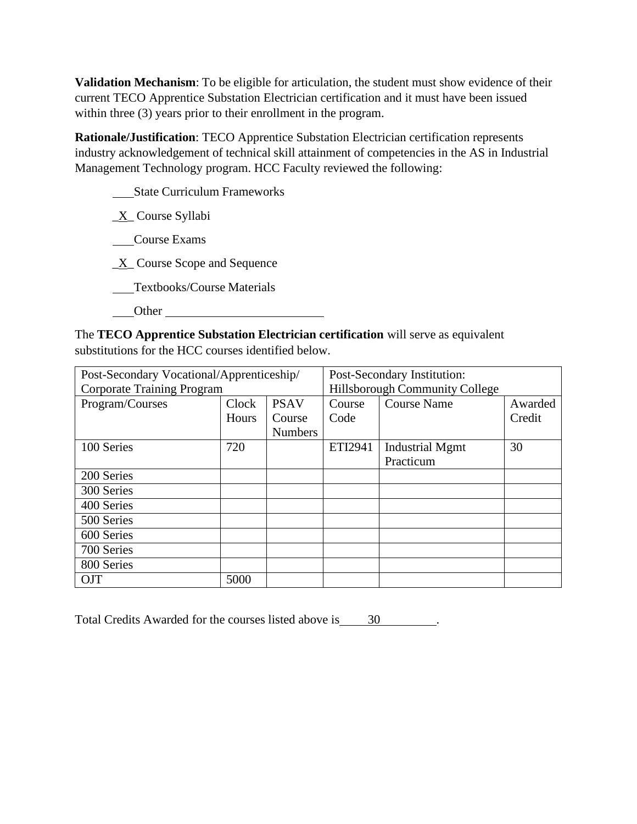**Validation Mechanism**: To be eligible for articulation, the student must show evidence of their within three (3) years prior to their enrollment in the program. current TECO Apprentice Substation Electrician certification and it must have been issued

 industry acknowledgement of technical skill attainment of competencies in the AS in Industrial Management Technology program. HCC Faculty reviewed the following: **Rationale/Justification**: TECO Apprentice Substation Electrician certification represents

State Curriculum Frameworks

\_X\_ Course Syllabi

Course Exams

**X** Course Scope and Sequence

Textbooks/Course Materials

Other

 The **TECO Apprentice Substation Electrician certification** will serve as equivalent substitutions for the HCC courses identified below.

| Post-Secondary Vocational/Apprenticeship/ |       |                | Post-Secondary Institution:           |                        |         |
|-------------------------------------------|-------|----------------|---------------------------------------|------------------------|---------|
| <b>Corporate Training Program</b>         |       |                | <b>Hillsborough Community College</b> |                        |         |
| Program/Courses                           | Clock | <b>PSAV</b>    | Course                                | <b>Course Name</b>     | Awarded |
|                                           | Hours | Course         | Code                                  |                        | Credit  |
|                                           |       | <b>Numbers</b> |                                       |                        |         |
| 100 Series                                | 720   |                | ETI2941                               | <b>Industrial Mgmt</b> | 30      |
|                                           |       |                |                                       | Practicum              |         |
| 200 Series                                |       |                |                                       |                        |         |
| 300 Series                                |       |                |                                       |                        |         |
| 400 Series                                |       |                |                                       |                        |         |
| 500 Series                                |       |                |                                       |                        |         |
| 600 Series                                |       |                |                                       |                        |         |
| 700 Series                                |       |                |                                       |                        |         |
| 800 Series                                |       |                |                                       |                        |         |
| <b>OJT</b>                                | 5000  |                |                                       |                        |         |

Total Credits Awarded for the courses listed above is 30 .